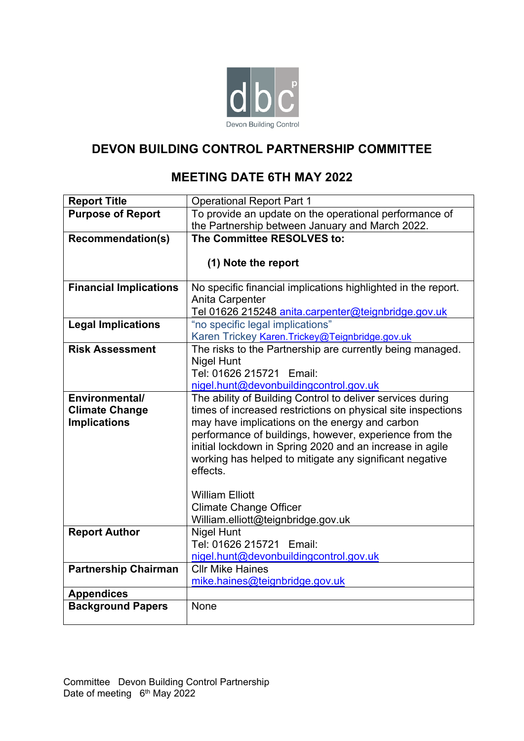

# **DEVON BUILDING CONTROL PARTNERSHIP COMMITTEE**

## **MEETING DATE 6TH MAY 2022**

| <b>Report Title</b>           | <b>Operational Report Part 1</b>                                                                               |
|-------------------------------|----------------------------------------------------------------------------------------------------------------|
| <b>Purpose of Report</b>      | To provide an update on the operational performance of                                                         |
|                               | the Partnership between January and March 2022.                                                                |
| <b>Recommendation(s)</b>      | The Committee RESOLVES to:                                                                                     |
|                               |                                                                                                                |
|                               | (1) Note the report                                                                                            |
|                               |                                                                                                                |
| <b>Financial Implications</b> | No specific financial implications highlighted in the report.                                                  |
|                               | Anita Carpenter                                                                                                |
|                               | Tel 01626 215248 anita.carpenter@teignbridge.gov.uk                                                            |
| <b>Legal Implications</b>     | "no specific legal implications"                                                                               |
|                               | Karen Trickey Karen. Trickey@Teignbridge.gov.uk                                                                |
| <b>Risk Assessment</b>        | The risks to the Partnership are currently being managed.                                                      |
|                               | <b>Nigel Hunt</b>                                                                                              |
|                               | Tel: 01626 215721 Email:                                                                                       |
|                               | nigel.hunt@devonbuildingcontrol.gov.uk                                                                         |
| Environmental/                | The ability of Building Control to deliver services during                                                     |
| <b>Climate Change</b>         | times of increased restrictions on physical site inspections<br>may have implications on the energy and carbon |
| <b>Implications</b>           | performance of buildings, however, experience from the                                                         |
|                               | initial lockdown in Spring 2020 and an increase in agile                                                       |
|                               | working has helped to mitigate any significant negative                                                        |
|                               | effects.                                                                                                       |
|                               |                                                                                                                |
|                               | <b>William Elliott</b>                                                                                         |
|                               | <b>Climate Change Officer</b>                                                                                  |
|                               | William.elliott@teignbridge.gov.uk                                                                             |
| <b>Report Author</b>          | <b>Nigel Hunt</b>                                                                                              |
|                               | Tel: 01626 215721 Email:                                                                                       |
|                               | nigel.hunt@devonbuildingcontrol.gov.uk                                                                         |
| <b>Partnership Chairman</b>   | <b>CIIr Mike Haines</b>                                                                                        |
|                               | mike.haines@teignbridge.gov.uk                                                                                 |
| <b>Appendices</b>             |                                                                                                                |
| <b>Background Papers</b>      | None                                                                                                           |
|                               |                                                                                                                |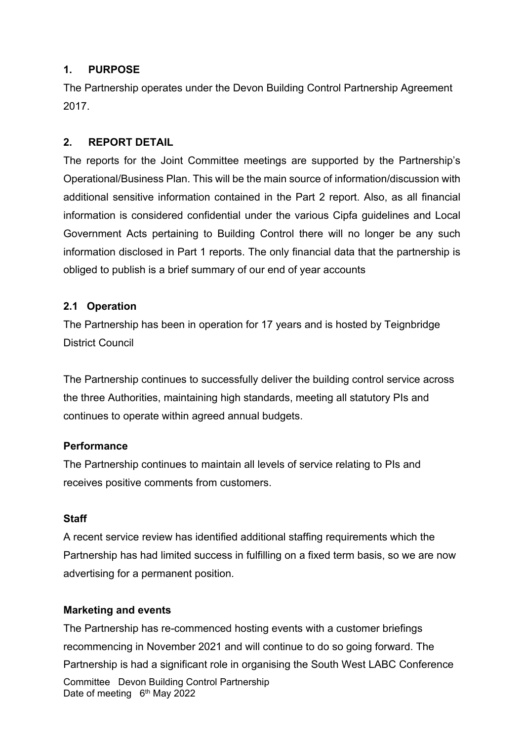#### **1. PURPOSE**

The Partnership operates under the Devon Building Control Partnership Agreement 2017.

### **2. REPORT DETAIL**

The reports for the Joint Committee meetings are supported by the Partnership's Operational/Business Plan. This will be the main source of information/discussion with additional sensitive information contained in the Part 2 report. Also, as all financial information is considered confidential under the various Cipfa guidelines and Local Government Acts pertaining to Building Control there will no longer be any such information disclosed in Part 1 reports. The only financial data that the partnership is obliged to publish is a brief summary of our end of year accounts

#### **2.1 Operation**

The Partnership has been in operation for 17 years and is hosted by Teignbridge District Council

The Partnership continues to successfully deliver the building control service across the three Authorities, maintaining high standards, meeting all statutory PIs and continues to operate within agreed annual budgets.

#### **Performance**

The Partnership continues to maintain all levels of service relating to PIs and receives positive comments from customers.

#### **Staff**

A recent service review has identified additional staffing requirements which the Partnership has had limited success in fulfilling on a fixed term basis, so we are now advertising for a permanent position.

#### **Marketing and events**

Committee Devon Building Control Partnership Date of meeting 6<sup>th</sup> May 2022 The Partnership has re-commenced hosting events with a customer briefings recommencing in November 2021 and will continue to do so going forward. The Partnership is had a significant role in organising the South West LABC Conference